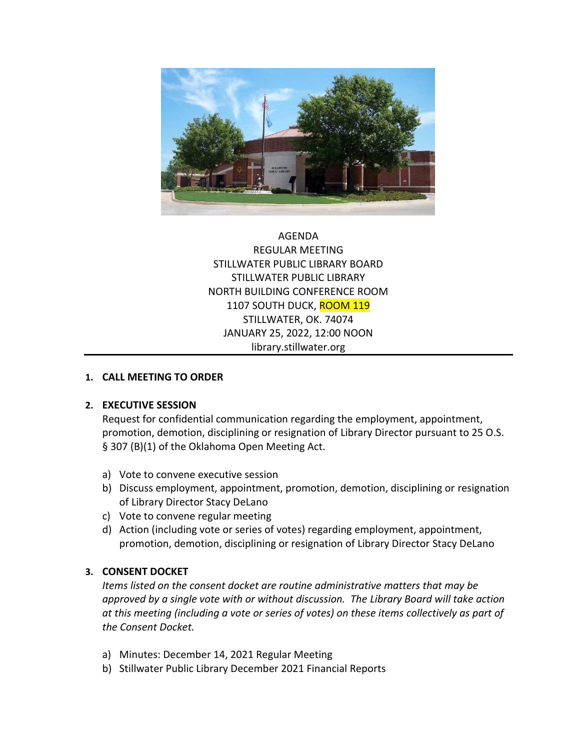

# AGENDA REGULAR MEETING STILLWATER PUBLIC LIBRARY BOARD STILLWATER PUBLIC LIBRARY NORTH BUILDING CONFERENCE ROOM 1107 SOUTH DUCK, ROOM 119 STILLWATER, OK. 74074 JANUARY 25, 2022, 12:00 NOON library.stillwater.org

### **1. CALL MEETING TO ORDER**

#### **2. EXECUTIVE SESSION**

Request for confidential communication regarding the employment, appointment, promotion, demotion, disciplining or resignation of Library Director pursuant to 25 O.S. § 307 (B)(1) of the Oklahoma Open Meeting Act.

- a) Vote to convene executive session
- b) Discuss employment, appointment, promotion, demotion, disciplining or resignation of Library Director Stacy DeLano
- c) Vote to convene regular meeting
- d) Action (including vote or series of votes) regarding employment, appointment, promotion, demotion, disciplining or resignation of Library Director Stacy DeLano

## **3. CONSENT DOCKET**

*Items listed on the consent docket are routine administrative matters that may be approved by a single vote with or without discussion. The Library Board will take action at this meeting (including a vote or series of votes) on these items collectively as part of the Consent Docket.*

- a) Minutes: December 14, 2021 Regular Meeting
- b) Stillwater Public Library December 2021 Financial Reports